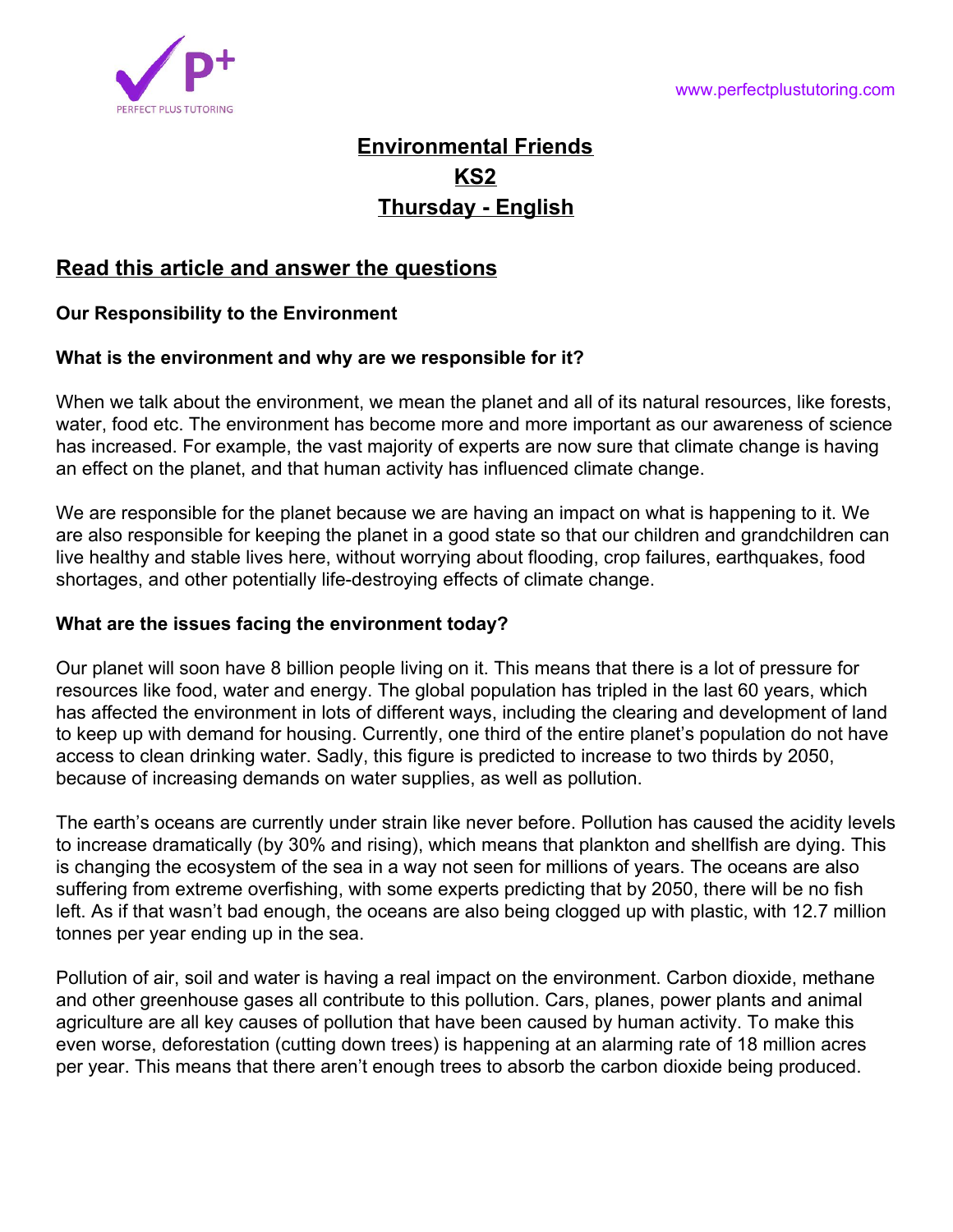

# **Environmental Friends KS2 Thursday - English**

# **Read this article and answer the questions**

#### **Our Responsibility to the Environment**

#### **What is the environment and why are we responsible for it?**

When we talk about the environment, we mean the planet and all of its natural resources, like forests, water, food etc. The environment has become more and more important as our awareness of science has increased. For example, the vast majority of experts are now sure that climate change is having an effect on the planet, and that human activity has influenced climate change.

We are responsible for the planet because we are having an impact on what is happening to it. We are also responsible for keeping the planet in a good state so that our children and grandchildren can live healthy and stable lives here, without worrying about flooding, crop failures, earthquakes, food shortages, and other potentially life-destroying effects of climate change.

#### **What are the issues facing the environment today?**

Our planet will soon have 8 billion people living on it. This means that there is a lot of pressure for resources like food, water and energy. The global population has tripled in the last 60 years, which has affected the environment in lots of different ways, including the clearing and development of land to keep up with demand for housing. Currently, one third of the entire planet's population do not have access to clean drinking water. Sadly, this figure is predicted to increase to two thirds by 2050, because of increasing demands on water supplies, as well as pollution.

The earth's oceans are currently under strain like never before. Pollution has caused the acidity levels to increase dramatically (by 30% and rising), which means that plankton and shellfish are dying. This is changing the ecosystem of the sea in a way not seen for millions of years. The oceans are also suffering from extreme overfishing, with some experts predicting that by 2050, there will be no fish left. As if that wasn't bad enough, the oceans are also being clogged up with plastic, with 12.7 million tonnes per year ending up in the sea.

Pollution of air, soil and water is having a real impact on the environment. Carbon dioxide, methane and other greenhouse gases all contribute to this pollution. Cars, planes, power plants and animal agriculture are all key causes of pollution that have been caused by human activity. To make this even worse, deforestation (cutting down trees) is happening at an alarming rate of 18 million acres per year. This means that there aren't enough trees to absorb the carbon dioxide being produced.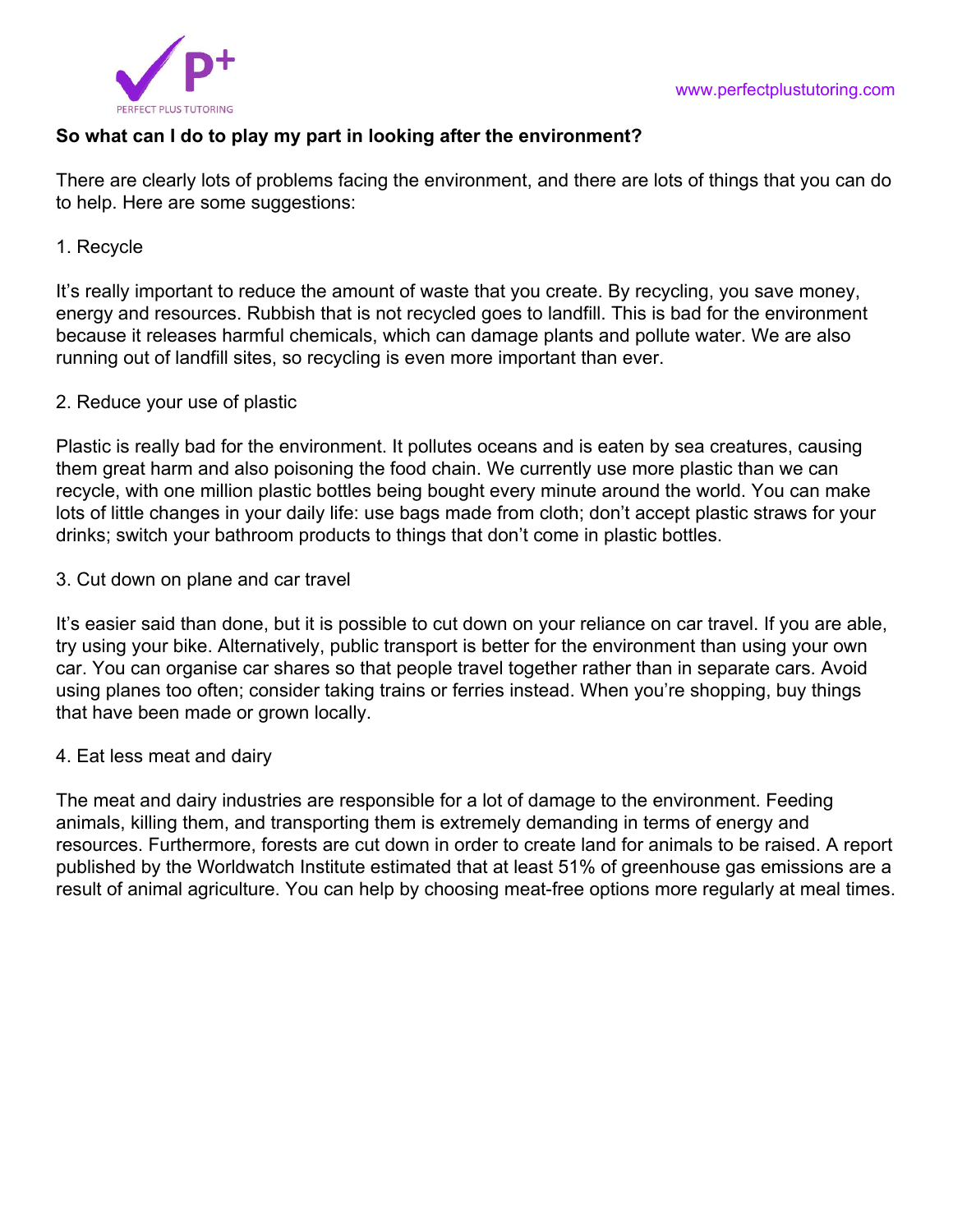

## **So what can I do to play my part in looking after the environment?**

There are clearly lots of problems facing the environment, and there are lots of things that you can do to help. Here are some suggestions:

#### 1. Recycle

It's really important to reduce the amount of waste that you create. By recycling, you save money, energy and resources. Rubbish that is not recycled goes to landfill. This is bad for the environment because it releases harmful chemicals, which can damage plants and pollute water. We are also running out of landfill sites, so recycling is even more important than ever.

#### 2. Reduce your use of plastic

Plastic is really bad for the environment. It pollutes oceans and is eaten by sea creatures, causing them great harm and also poisoning the food chain. We currently use more plastic than we can recycle, with one million plastic bottles being bought every minute around the world. You can make lots of little changes in your daily life: use bags made from cloth; don't accept plastic straws for your drinks; switch your bathroom products to things that don't come in plastic bottles.

#### 3. Cut down on plane and car travel

It's easier said than done, but it is possible to cut down on your reliance on car travel. If you are able, try using your bike. Alternatively, public transport is better for the environment than using your own car. You can organise car shares so that people travel together rather than in separate cars. Avoid using planes too often; consider taking trains or ferries instead. When you're shopping, buy things that have been made or grown locally.

#### 4. Eat less meat and dairy

The meat and dairy industries are responsible for a lot of damage to the environment. Feeding animals, killing them, and transporting them is extremely demanding in terms of energy and resources. Furthermore, forests are cut down in order to create land for animals to be raised. A report published by the Worldwatch Institute estimated that at least 51% of greenhouse gas emissions are a result of animal agriculture. You can help by choosing meat-free options more regularly at meal times.